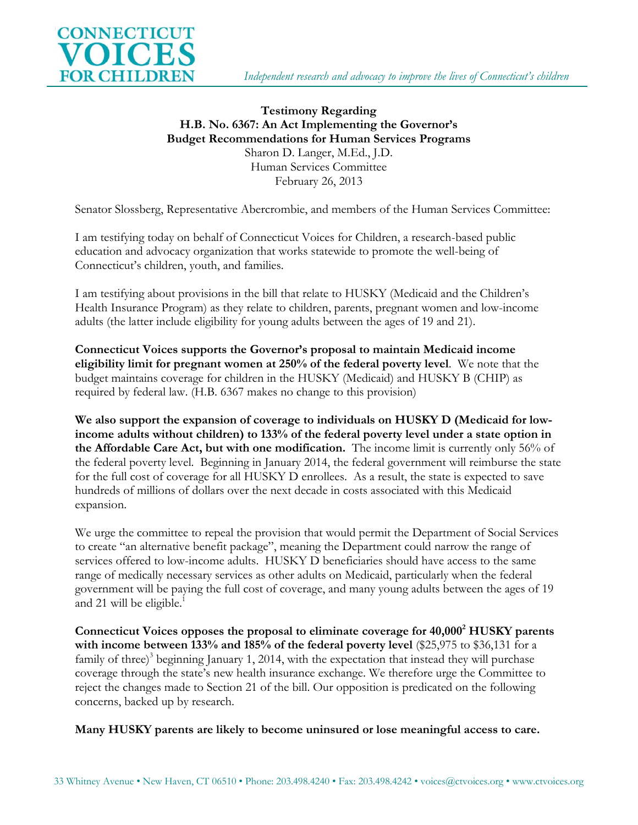

## **Testimony Regarding H.B. No. 6367: An Act Implementing the Governor's Budget Recommendations for Human Services Programs** Sharon D. Langer, M.Ed., J.D. Human Services Committee February 26, 2013

Senator Slossberg, Representative Abercrombie, and members of the Human Services Committee:

I am testifying today on behalf of Connecticut Voices for Children, a research-based public education and advocacy organization that works statewide to promote the well-being of Connecticut's children, youth, and families.

I am testifying about provisions in the bill that relate to HUSKY (Medicaid and the Children's Health Insurance Program) as they relate to children, parents, pregnant women and low-income adults (the latter include eligibility for young adults between the ages of 19 and 21).

**Connecticut Voices supports the Governor's proposal to maintain Medicaid income eligibility limit for pregnant women at 250% of the federal poverty level**. We note that the budget maintains coverage for children in the HUSKY (Medicaid) and HUSKY B (CHIP) as required by federal law. (H.B. 6367 makes no change to this provision)

**We also support the expansion of coverage to individuals on HUSKY D (Medicaid for lowincome adults without children) to 133% of the federal poverty level under a state option in the Affordable Care Act, but with one modification.** The income limit is currently only 56% of the federal poverty level. Beginning in January 2014, the federal government will reimburse the state for the full cost of coverage for all HUSKY D enrollees. As a result, the state is expected to save hundreds of millions of dollars over the next decade in costs associated with this Medicaid expansion.

We urge the committee to repeal the provision that would permit the Department of Social Services to create "an alternative benefit package", meaning the Department could narrow the range of services offered to low-income adults. HUSKY D beneficiaries should have access to the same range of medically necessary services as other adults on Medicaid, particularly when the federal government will be paying the full cost of coverage, and many young adults between the ages of 19 and 21 will be eligible. 1

**Connecticut Voices opposes the proposal to eliminate coverage for 40,000<sup>2</sup> HUSKY parents with income between 133% and 185% of the federal poverty level** (\$25,975 to \$36,131 for a family of three)<sup>3</sup> beginning January 1, 2014, with the expectation that instead they will purchase coverage through the state's new health insurance exchange. We therefore urge the Committee to reject the changes made to Section 21 of the bill. Our opposition is predicated on the following concerns, backed up by research.

**Many HUSKY parents are likely to become uninsured or lose meaningful access to care.**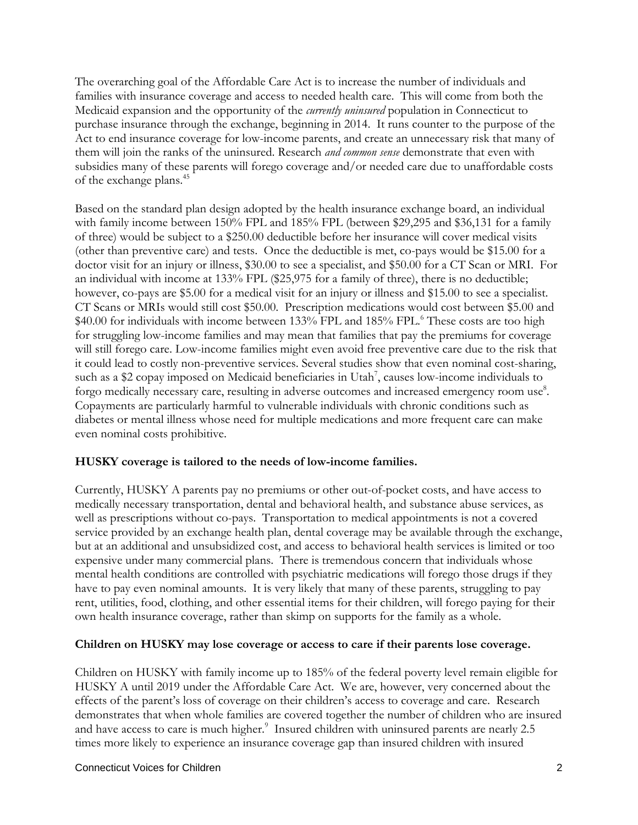The overarching goal of the Affordable Care Act is to increase the number of individuals and families with insurance coverage and access to needed health care. This will come from both the Medicaid expansion and the opportunity of the *currently uninsured* population in Connecticut to purchase insurance through the exchange, beginning in 2014. It runs counter to the purpose of the Act to end insurance coverage for low-income parents, and create an unnecessary risk that many of them will join the ranks of the uninsured. Research *and common sense* demonstrate that even with subsidies many of these parents will forego coverage and/or needed care due to unaffordable costs of the exchange plans. 45

Based on the standard plan design adopted by the health insurance exchange board, an individual with family income between 150% FPL and 185% FPL (between \$29,295 and \$36,131 for a family of three) would be subject to a \$250.00 deductible before her insurance will cover medical visits (other than preventive care) and tests. Once the deductible is met, co-pays would be \$15.00 for a doctor visit for an injury or illness, \$30.00 to see a specialist, and \$50.00 for a CT Scan or MRI. For an individual with income at 133% FPL (\$25,975 for a family of three), there is no deductible; however, co-pays are \$5.00 for a medical visit for an injury or illness and \$15.00 to see a specialist. CT Scans or MRIs would still cost \$50.00. Prescription medications would cost between \$5.00 and \$40.00 for individuals with income between 133% FPL and 185% FPL.<sup>6</sup> These costs are too high for struggling low-income families and may mean that families that pay the premiums for coverage will still forego care. Low-income families might even avoid free preventive care due to the risk that it could lead to costly non-preventive services. Several studies show that even nominal cost-sharing, such as a \$2 copay imposed on Medicaid beneficiaries in Utah<sup>7</sup>, causes low-income individuals to forgo medically necessary care, resulting in adverse outcomes and increased emergency room use<sup>8</sup>. Copayments are particularly harmful to vulnerable individuals with chronic conditions such as diabetes or mental illness whose need for multiple medications and more frequent care can make even nominal costs prohibitive.

## **HUSKY coverage is tailored to the needs of low-income families.**

Currently, HUSKY A parents pay no premiums or other out-of-pocket costs, and have access to medically necessary transportation, dental and behavioral health, and substance abuse services, as well as prescriptions without co-pays. Transportation to medical appointments is not a covered service provided by an exchange health plan, dental coverage may be available through the exchange, but at an additional and unsubsidized cost, and access to behavioral health services is limited or too expensive under many commercial plans. There is tremendous concern that individuals whose mental health conditions are controlled with psychiatric medications will forego those drugs if they have to pay even nominal amounts. It is very likely that many of these parents, struggling to pay rent, utilities, food, clothing, and other essential items for their children, will forego paying for their own health insurance coverage, rather than skimp on supports for the family as a whole.

## **Children on HUSKY may lose coverage or access to care if their parents lose coverage.**

Children on HUSKY with family income up to 185% of the federal poverty level remain eligible for HUSKY A until 2019 under the Affordable Care Act. We are, however, very concerned about the effects of the parent's loss of coverage on their children's access to coverage and care. Research demonstrates that when whole families are covered together the number of children who are insured and have access to care is much higher. $\degree$  Insured children with uninsured parents are nearly 2.5 times more likely to experience an insurance coverage gap than insured children with insured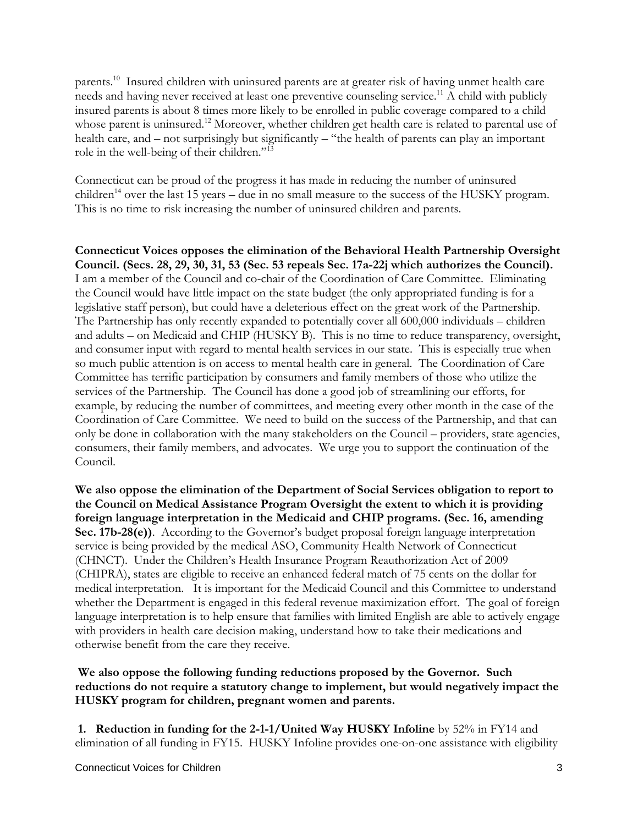parents.<sup>10</sup> Insured children with uninsured parents are at greater risk of having unmet health care needs and having never received at least one preventive counseling service.<sup>11</sup> A child with publicly insured parents is about 8 times more likely to be enrolled in public coverage compared to a child whose parent is uninsured.<sup>12</sup> Moreover, whether children get health care is related to parental use of health care, and – not surprisingly but significantly – "the health of parents can play an important role in the well-being of their children."<sup>13</sup>

Connecticut can be proud of the progress it has made in reducing the number of uninsured children<sup>14</sup> over the last 15 years – due in no small measure to the success of the HUSKY program. This is no time to risk increasing the number of uninsured children and parents.

**Connecticut Voices opposes the elimination of the Behavioral Health Partnership Oversight Council. (Secs. 28, 29, 30, 31, 53 (Sec. 53 repeals Sec. 17a-22j which authorizes the Council).**  I am a member of the Council and co-chair of the Coordination of Care Committee. Eliminating the Council would have little impact on the state budget (the only appropriated funding is for a legislative staff person), but could have a deleterious effect on the great work of the Partnership. The Partnership has only recently expanded to potentially cover all 600,000 individuals – children and adults – on Medicaid and CHIP (HUSKY B). This is no time to reduce transparency, oversight, and consumer input with regard to mental health services in our state. This is especially true when so much public attention is on access to mental health care in general. The Coordination of Care Committee has terrific participation by consumers and family members of those who utilize the services of the Partnership. The Council has done a good job of streamlining our efforts, for example, by reducing the number of committees, and meeting every other month in the case of the Coordination of Care Committee. We need to build on the success of the Partnership, and that can only be done in collaboration with the many stakeholders on the Council – providers, state agencies, consumers, their family members, and advocates. We urge you to support the continuation of the Council.

**We also oppose the elimination of the Department of Social Services obligation to report to the Council on Medical Assistance Program Oversight the extent to which it is providing foreign language interpretation in the Medicaid and CHIP programs. (Sec. 16, amending Sec. 17b-28(e))**. According to the Governor's budget proposal foreign language interpretation service is being provided by the medical ASO, Community Health Network of Connecticut (CHNCT). Under the Children's Health Insurance Program Reauthorization Act of 2009 (CHIPRA), states are eligible to receive an enhanced federal match of 75 cents on the dollar for medical interpretation. It is important for the Medicaid Council and this Committee to understand whether the Department is engaged in this federal revenue maximization effort. The goal of foreign language interpretation is to help ensure that families with limited English are able to actively engage with providers in health care decision making, understand how to take their medications and otherwise benefit from the care they receive.

**We also oppose the following funding reductions proposed by the Governor. Such reductions do not require a statutory change to implement, but would negatively impact the HUSKY program for children, pregnant women and parents.** 

**1. Reduction in funding for the 2-1-1/United Way HUSKY Infoline** by 52% in FY14 and elimination of all funding in FY15. HUSKY Infoline provides one-on-one assistance with eligibility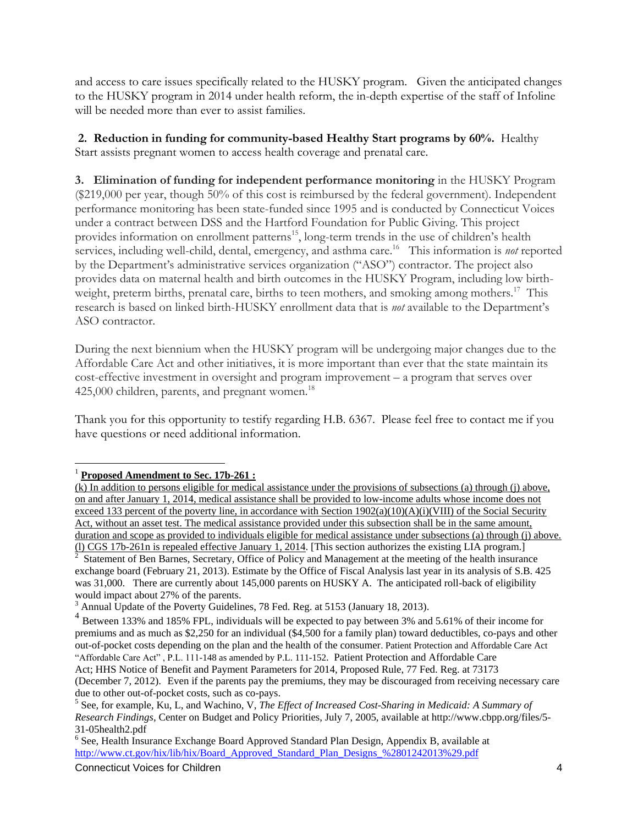and access to care issues specifically related to the HUSKY program. Given the anticipated changes to the HUSKY program in 2014 under health reform, the in-depth expertise of the staff of Infoline will be needed more than ever to assist families.

**2. Reduction in funding for community-based Healthy Start programs by 60%.** Healthy Start assists pregnant women to access health coverage and prenatal care.

**3. Elimination of funding for independent performance monitoring** in the HUSKY Program (\$219,000 per year, though 50% of this cost is reimbursed by the federal government). Independent performance monitoring has been state-funded since 1995 and is conducted by Connecticut Voices under a contract between DSS and the Hartford Foundation for Public Giving. This project provides information on enrollment patterns<sup>15</sup>, long-term trends in the use of children's health services, including well-child, dental, emergency, and asthma care.<sup>16</sup> This information is *not* reported by the Department's administrative services organization ("ASO") contractor. The project also provides data on maternal health and birth outcomes in the HUSKY Program, including low birthweight, preterm births, prenatal care, births to teen mothers, and smoking among mothers.<sup>17</sup> This research is based on linked birth-HUSKY enrollment data that is *not* available to the Department's ASO contractor.

During the next biennium when the HUSKY program will be undergoing major changes due to the Affordable Care Act and other initiatives, it is more important than ever that the state maintain its cost-effective investment in oversight and program improvement – a program that serves over  $425,000$  children, parents, and pregnant women.<sup>18</sup>

Thank you for this opportunity to testify regarding H.B. 6367. Please feel free to contact me if you have questions or need additional information.

 $\overline{a}$ <sup>1</sup> **Proposed Amendment to Sec. 17b-261 :**

<sup>(</sup>k) In addition to persons eligible for medical assistance under the provisions of subsections (a) through (j) above, on and after January 1, 2014, medical assistance shall be provided to low-income adults whose income does not exceed 133 percent of the poverty line, in accordance with Section 1902(a)(10)(A)(i)(VIII) of the Social Security Act, without an asset test. The medical assistance provided under this subsection shall be in the same amount, duration and scope as provided to individuals eligible for medical assistance under subsections (a) through (j) above. (l) CGS 17b-261n is repealed effective January 1, 2014. [This section authorizes the existing LIA program.]<br><sup>2</sup> Statement of Ban Barnes, Secretary, Office of Boliou and Management at the meeting of the health incursi

Statement of Ben Barnes, Secretary, Office of Policy and Management at the meeting of the health insurance exchange board (February 21, 2013). Estimate by the Office of Fiscal Analysis last year in its analysis of S.B. 425 was 31,000. There are currently about 145,000 parents on HUSKY A. The anticipated roll-back of eligibility would impact about 27% of the parents.

<sup>&</sup>lt;sup>3</sup> Annual Update of the Poverty Guidelines, 78 Fed. Reg. at 5153 (January 18, 2013).

<sup>&</sup>lt;sup>4</sup> Between 133% and 185% FPL, individuals will be expected to pay between 3% and 5.61% of their income for premiums and as much as \$2,250 for an individual (\$4,500 for a family plan) toward deductibles, co-pays and other out-of-pocket costs depending on the plan and the health of the consumer. Patient Protection and Affordable Care Act "Affordable Care Act" , P.L. 111-148 as amended by P.L. 111-152. Patient Protection and Affordable Care

Act; HHS Notice of Benefit and Payment Parameters for 2014, Proposed Rule, 77 Fed. Reg. at 73173 (December 7, 2012). Even if the parents pay the premiums, they may be discouraged from receiving necessary care due to other out-of-pocket costs, such as co-pays.

<sup>5</sup> See, for example, Ku, L, and Wachino, V, *The Effect of Increased Cost-Sharing in Medicaid: A Summary of Research Findings*, Center on Budget and Policy Priorities, July 7, 2005, available at http://www.cbpp.org/files/5- 31-05health2.pdf

<sup>&</sup>lt;sup>6</sup> See, Health Insurance Exchange Board Approved Standard Plan Design, Appendix B, available at [http://www.ct.gov/hix/lib/hix/Board\\_Approved\\_Standard\\_Plan\\_Designs\\_%2801242013%29.pdf](http://www.ct.gov/hix/lib/hix/Board_Approved_Standard_Plan_Designs_%2801242013%29.pdf)